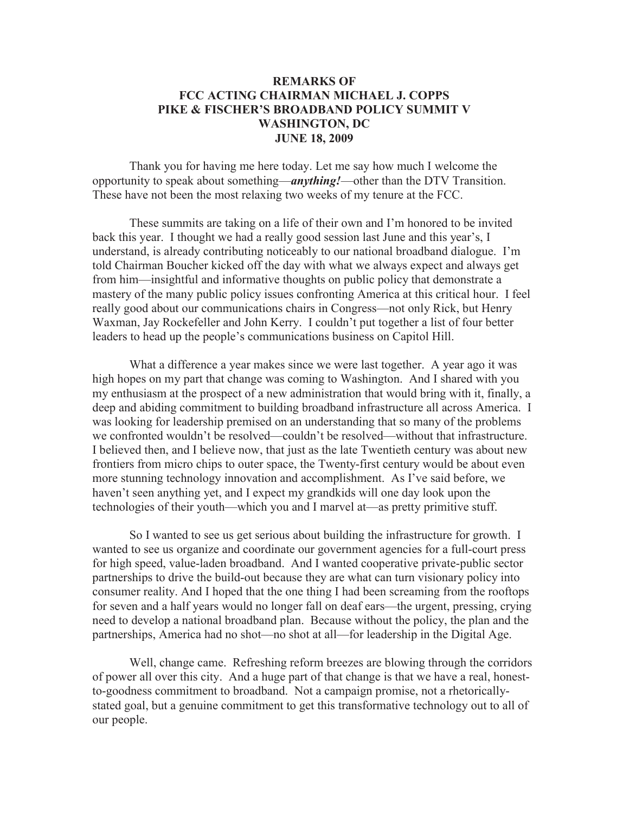## **REMARKS OF FCC ACTING CHAIRMAN MICHAEL J. COPPS PIKE & FISCHER'S BROADBAND POLICY SUMMIT V WASHINGTON, DC JUNE 18, 2009**

Thank you for having me here today. Let me say how much I welcome the opportunity to speak about something—*anything!*—other than the DTV Transition. These have not been the most relaxing two weeks of my tenure at the FCC.

These summits are taking on a life of their own and I'm honored to be invited back this year. I thought we had a really good session last June and this year's, I understand, is already contributing noticeably to our national broadband dialogue. I'm told Chairman Boucher kicked off the day with what we always expect and always get from him—insightful and informative thoughts on public policy that demonstrate a mastery of the many public policy issues confronting America at this critical hour. I feel really good about our communications chairs in Congress—not only Rick, but Henry Waxman, Jay Rockefeller and John Kerry. I couldn't put together a list of four better leaders to head up the people's communications business on Capitol Hill.

What a difference a year makes since we were last together. A year ago it was high hopes on my part that change was coming to Washington. And I shared with you my enthusiasm at the prospect of a new administration that would bring with it, finally, a deep and abiding commitment to building broadband infrastructure all across America. I was looking for leadership premised on an understanding that so many of the problems we confronted wouldn't be resolved—couldn't be resolved—without that infrastructure. I believed then, and I believe now, that just as the late Twentieth century was about new frontiers from micro chips to outer space, the Twenty-first century would be about even more stunning technology innovation and accomplishment. As I've said before, we haven't seen anything yet, and I expect my grandkids will one day look upon the technologies of their youth—which you and I marvel at—as pretty primitive stuff.

So I wanted to see us get serious about building the infrastructure for growth. I wanted to see us organize and coordinate our government agencies for a full-court press for high speed, value-laden broadband. And I wanted cooperative private-public sector partnerships to drive the build-out because they are what can turn visionary policy into consumer reality. And I hoped that the one thing I had been screaming from the rooftops for seven and a half years would no longer fall on deaf ears—the urgent, pressing, crying need to develop a national broadband plan. Because without the policy, the plan and the partnerships, America had no shot—no shot at all—for leadership in the Digital Age.

Well, change came. Refreshing reform breezes are blowing through the corridors of power all over this city. And a huge part of that change is that we have a real, honestto-goodness commitment to broadband. Not a campaign promise, not a rhetoricallystated goal, but a genuine commitment to get this transformative technology out to all of our people.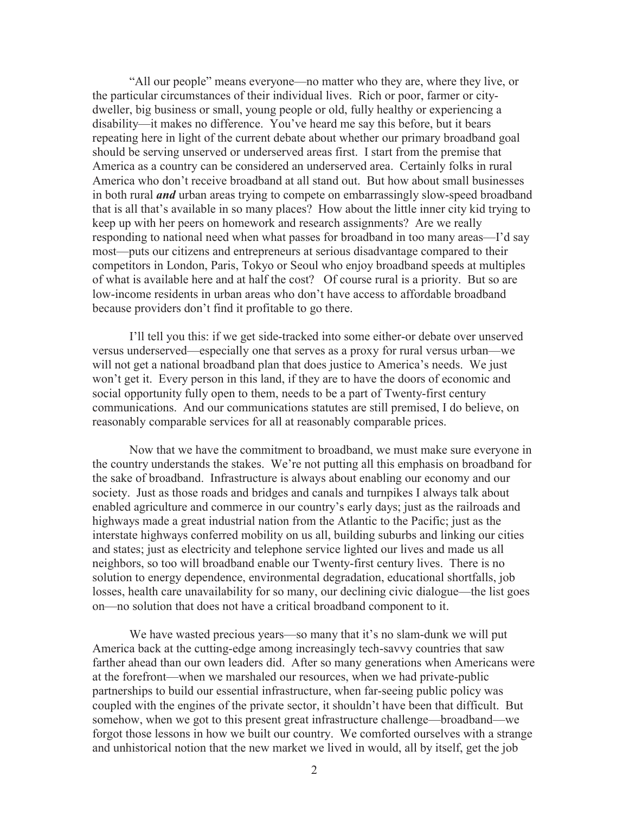"All our people" means everyone—no matter who they are, where they live, or the particular circumstances of their individual lives. Rich or poor, farmer or citydweller, big business or small, young people or old, fully healthy or experiencing a disability—it makes no difference. You've heard me say this before, but it bears repeating here in light of the current debate about whether our primary broadband goal should be serving unserved or underserved areas first. I start from the premise that America as a country can be considered an underserved area. Certainly folks in rural America who don't receive broadband at all stand out. But how about small businesses in both rural *and* urban areas trying to compete on embarrassingly slow-speed broadband that is all that's available in so many places? How about the little inner city kid trying to keep up with her peers on homework and research assignments? Are we really responding to national need when what passes for broadband in too many areas—I'd say most—puts our citizens and entrepreneurs at serious disadvantage compared to their competitors in London, Paris, Tokyo or Seoul who enjoy broadband speeds at multiples of what is available here and at half the cost? Of course rural is a priority. But so are low-income residents in urban areas who don't have access to affordable broadband because providers don't find it profitable to go there.

I'll tell you this: if we get side-tracked into some either-or debate over unserved versus underserved—especially one that serves as a proxy for rural versus urban—we will not get a national broadband plan that does justice to America's needs. We just won't get it. Every person in this land, if they are to have the doors of economic and social opportunity fully open to them, needs to be a part of Twenty-first century communications. And our communications statutes are still premised, I do believe, on reasonably comparable services for all at reasonably comparable prices.

Now that we have the commitment to broadband, we must make sure everyone in the country understands the stakes. We're not putting all this emphasis on broadband for the sake of broadband. Infrastructure is always about enabling our economy and our society. Just as those roads and bridges and canals and turnpikes I always talk about enabled agriculture and commerce in our country's early days; just as the railroads and highways made a great industrial nation from the Atlantic to the Pacific; just as the interstate highways conferred mobility on us all, building suburbs and linking our cities and states; just as electricity and telephone service lighted our lives and made us all neighbors, so too will broadband enable our Twenty-first century lives. There is no solution to energy dependence, environmental degradation, educational shortfalls, job losses, health care unavailability for so many, our declining civic dialogue—the list goes on—no solution that does not have a critical broadband component to it.

We have wasted precious years—so many that it's no slam-dunk we will put America back at the cutting-edge among increasingly tech-savvy countries that saw farther ahead than our own leaders did. After so many generations when Americans were at the forefront—when we marshaled our resources, when we had private-public partnerships to build our essential infrastructure, when far-seeing public policy was coupled with the engines of the private sector, it shouldn't have been that difficult. But somehow, when we got to this present great infrastructure challenge—broadband—we forgot those lessons in how we built our country. We comforted ourselves with a strange and unhistorical notion that the new market we lived in would, all by itself, get the job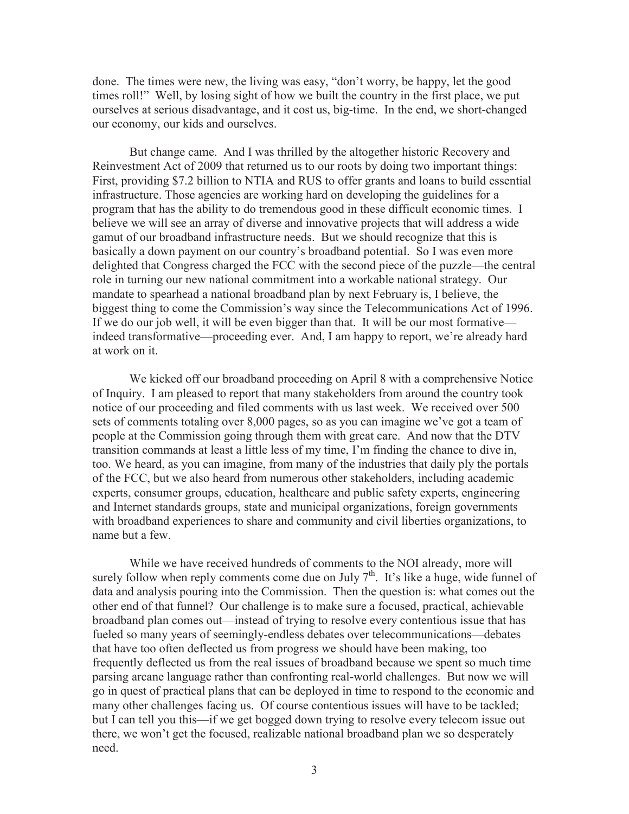done. The times were new, the living was easy, "don't worry, be happy, let the good times roll!" Well, by losing sight of how we built the country in the first place, we put ourselves at serious disadvantage, and it cost us, big-time. In the end, we short-changed our economy, our kids and ourselves.

But change came. And I was thrilled by the altogether historic Recovery and Reinvestment Act of 2009 that returned us to our roots by doing two important things: First, providing \$7.2 billion to NTIA and RUS to offer grants and loans to build essential infrastructure. Those agencies are working hard on developing the guidelines for a program that has the ability to do tremendous good in these difficult economic times. I believe we will see an array of diverse and innovative projects that will address a wide gamut of our broadband infrastructure needs. But we should recognize that this is basically a down payment on our country's broadband potential. So I was even more delighted that Congress charged the FCC with the second piece of the puzzle—the central role in turning our new national commitment into a workable national strategy. Our mandate to spearhead a national broadband plan by next February is, I believe, the biggest thing to come the Commission's way since the Telecommunications Act of 1996. If we do our job well, it will be even bigger than that. It will be our most formative indeed transformative—proceeding ever. And, I am happy to report, we're already hard at work on it.

We kicked off our broadband proceeding on April 8 with a comprehensive Notice of Inquiry. I am pleased to report that many stakeholders from around the country took notice of our proceeding and filed comments with us last week. We received over 500 sets of comments totaling over 8,000 pages, so as you can imagine we've got a team of people at the Commission going through them with great care. And now that the DTV transition commands at least a little less of my time, I'm finding the chance to dive in, too. We heard, as you can imagine, from many of the industries that daily ply the portals of the FCC, but we also heard from numerous other stakeholders, including academic experts, consumer groups, education, healthcare and public safety experts, engineering and Internet standards groups, state and municipal organizations, foreign governments with broadband experiences to share and community and civil liberties organizations, to name but a few.

While we have received hundreds of comments to the NOI already, more will surely follow when reply comments come due on July  $7<sup>th</sup>$ . It's like a huge, wide funnel of data and analysis pouring into the Commission. Then the question is: what comes out the other end of that funnel? Our challenge is to make sure a focused, practical, achievable broadband plan comes out—instead of trying to resolve every contentious issue that has fueled so many years of seemingly-endless debates over telecommunications—debates that have too often deflected us from progress we should have been making, too frequently deflected us from the real issues of broadband because we spent so much time parsing arcane language rather than confronting real-world challenges. But now we will go in quest of practical plans that can be deployed in time to respond to the economic and many other challenges facing us. Of course contentious issues will have to be tackled; but I can tell you this—if we get bogged down trying to resolve every telecom issue out there, we won't get the focused, realizable national broadband plan we so desperately need.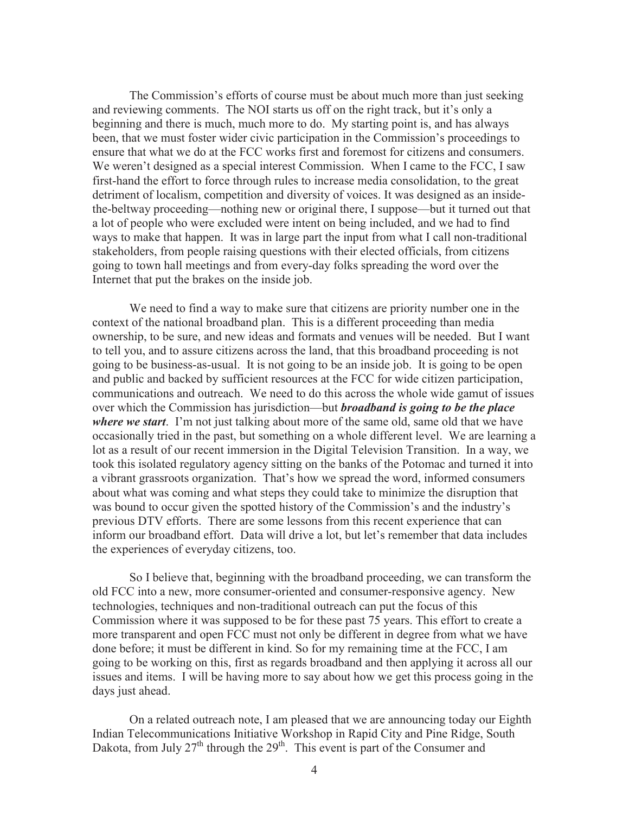The Commission's efforts of course must be about much more than just seeking and reviewing comments. The NOI starts us off on the right track, but it's only a beginning and there is much, much more to do. My starting point is, and has always been, that we must foster wider civic participation in the Commission's proceedings to ensure that what we do at the FCC works first and foremost for citizens and consumers. We weren't designed as a special interest Commission. When I came to the FCC, I saw first-hand the effort to force through rules to increase media consolidation, to the great detriment of localism, competition and diversity of voices. It was designed as an insidethe-beltway proceeding—nothing new or original there, I suppose—but it turned out that a lot of people who were excluded were intent on being included, and we had to find ways to make that happen. It was in large part the input from what I call non-traditional stakeholders, from people raising questions with their elected officials, from citizens going to town hall meetings and from every-day folks spreading the word over the Internet that put the brakes on the inside job.

We need to find a way to make sure that citizens are priority number one in the context of the national broadband plan. This is a different proceeding than media ownership, to be sure, and new ideas and formats and venues will be needed. But I want to tell you, and to assure citizens across the land, that this broadband proceeding is not going to be business-as-usual. It is not going to be an inside job. It is going to be open and public and backed by sufficient resources at the FCC for wide citizen participation, communications and outreach. We need to do this across the whole wide gamut of issues over which the Commission has jurisdiction—but *broadband is going to be the place where we start*. I'm not just talking about more of the same old, same old that we have occasionally tried in the past, but something on a whole different level. We are learning a lot as a result of our recent immersion in the Digital Television Transition. In a way, we took this isolated regulatory agency sitting on the banks of the Potomac and turned it into a vibrant grassroots organization. That's how we spread the word, informed consumers about what was coming and what steps they could take to minimize the disruption that was bound to occur given the spotted history of the Commission's and the industry's previous DTV efforts. There are some lessons from this recent experience that can inform our broadband effort. Data will drive a lot, but let's remember that data includes the experiences of everyday citizens, too.

So I believe that, beginning with the broadband proceeding, we can transform the old FCC into a new, more consumer-oriented and consumer-responsive agency. New technologies, techniques and non-traditional outreach can put the focus of this Commission where it was supposed to be for these past 75 years. This effort to create a more transparent and open FCC must not only be different in degree from what we have done before; it must be different in kind. So for my remaining time at the FCC, I am going to be working on this, first as regards broadband and then applying it across all our issues and items. I will be having more to say about how we get this process going in the days just ahead.

On a related outreach note, I am pleased that we are announcing today our Eighth Indian Telecommunications Initiative Workshop in Rapid City and Pine Ridge, South Dakota, from July  $27<sup>th</sup>$  through the  $29<sup>th</sup>$ . This event is part of the Consumer and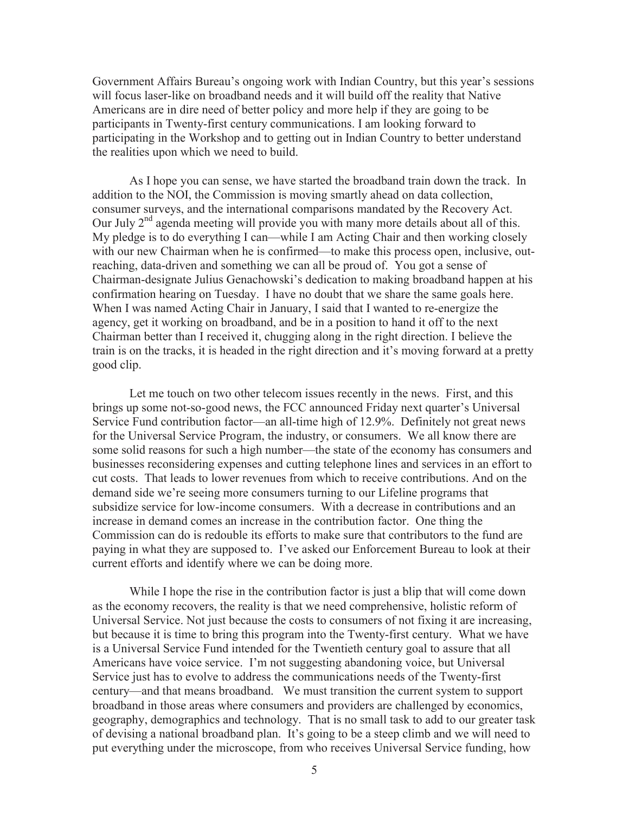Government Affairs Bureau's ongoing work with Indian Country, but this year's sessions will focus laser-like on broadband needs and it will build off the reality that Native Americans are in dire need of better policy and more help if they are going to be participants in Twenty-first century communications. I am looking forward to participating in the Workshop and to getting out in Indian Country to better understand the realities upon which we need to build.

As I hope you can sense, we have started the broadband train down the track. In addition to the NOI, the Commission is moving smartly ahead on data collection, consumer surveys, and the international comparisons mandated by the Recovery Act. Our July  $2<sup>nd</sup>$  agenda meeting will provide you with many more details about all of this. My pledge is to do everything I can—while I am Acting Chair and then working closely with our new Chairman when he is confirmed—to make this process open, inclusive, outreaching, data-driven and something we can all be proud of. You got a sense of Chairman-designate Julius Genachowski's dedication to making broadband happen at his confirmation hearing on Tuesday. I have no doubt that we share the same goals here. When I was named Acting Chair in January, I said that I wanted to re-energize the agency, get it working on broadband, and be in a position to hand it off to the next Chairman better than I received it, chugging along in the right direction. I believe the train is on the tracks, it is headed in the right direction and it's moving forward at a pretty good clip.

Let me touch on two other telecom issues recently in the news. First, and this brings up some not-so-good news, the FCC announced Friday next quarter's Universal Service Fund contribution factor—an all-time high of 12.9%. Definitely not great news for the Universal Service Program, the industry, or consumers. We all know there are some solid reasons for such a high number—the state of the economy has consumers and businesses reconsidering expenses and cutting telephone lines and services in an effort to cut costs. That leads to lower revenues from which to receive contributions. And on the demand side we're seeing more consumers turning to our Lifeline programs that subsidize service for low-income consumers. With a decrease in contributions and an increase in demand comes an increase in the contribution factor. One thing the Commission can do is redouble its efforts to make sure that contributors to the fund are paying in what they are supposed to. I've asked our Enforcement Bureau to look at their current efforts and identify where we can be doing more.

While I hope the rise in the contribution factor is just a blip that will come down as the economy recovers, the reality is that we need comprehensive, holistic reform of Universal Service. Not just because the costs to consumers of not fixing it are increasing, but because it is time to bring this program into the Twenty-first century. What we have is a Universal Service Fund intended for the Twentieth century goal to assure that all Americans have voice service. I'm not suggesting abandoning voice, but Universal Service just has to evolve to address the communications needs of the Twenty-first century—and that means broadband. We must transition the current system to support broadband in those areas where consumers and providers are challenged by economics, geography, demographics and technology. That is no small task to add to our greater task of devising a national broadband plan. It's going to be a steep climb and we will need to put everything under the microscope, from who receives Universal Service funding, how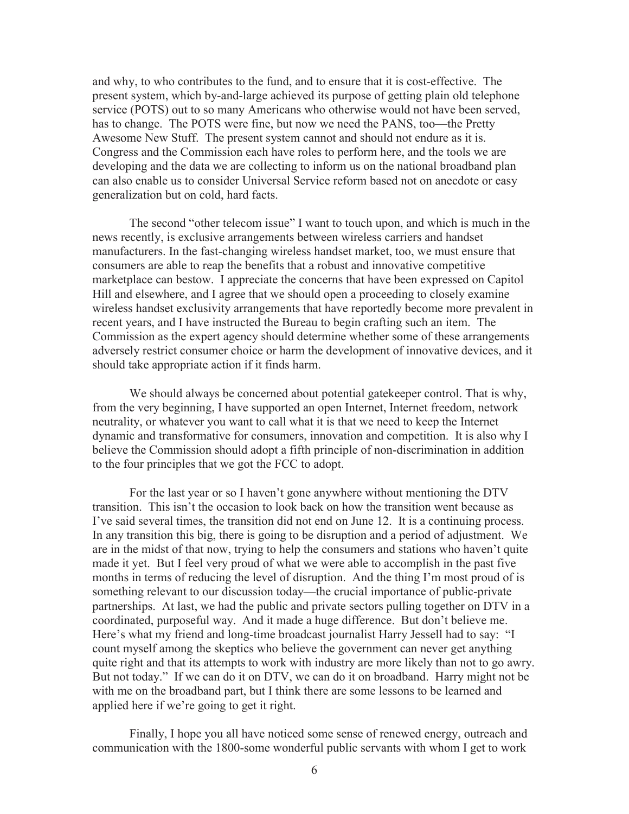and why, to who contributes to the fund, and to ensure that it is cost-effective. The present system, which by-and-large achieved its purpose of getting plain old telephone service (POTS) out to so many Americans who otherwise would not have been served, has to change. The POTS were fine, but now we need the PANS, too—the Pretty Awesome New Stuff. The present system cannot and should not endure as it is. Congress and the Commission each have roles to perform here, and the tools we are developing and the data we are collecting to inform us on the national broadband plan can also enable us to consider Universal Service reform based not on anecdote or easy generalization but on cold, hard facts.

The second "other telecom issue" I want to touch upon, and which is much in the news recently, is exclusive arrangements between wireless carriers and handset manufacturers. In the fast-changing wireless handset market, too, we must ensure that consumers are able to reap the benefits that a robust and innovative competitive marketplace can bestow. I appreciate the concerns that have been expressed on Capitol Hill and elsewhere, and I agree that we should open a proceeding to closely examine wireless handset exclusivity arrangements that have reportedly become more prevalent in recent years, and I have instructed the Bureau to begin crafting such an item. The Commission as the expert agency should determine whether some of these arrangements adversely restrict consumer choice or harm the development of innovative devices, and it should take appropriate action if it finds harm.

We should always be concerned about potential gatekeeper control. That is why, from the very beginning, I have supported an open Internet, Internet freedom, network neutrality, or whatever you want to call what it is that we need to keep the Internet dynamic and transformative for consumers, innovation and competition. It is also why I believe the Commission should adopt a fifth principle of non-discrimination in addition to the four principles that we got the FCC to adopt.

For the last year or so I haven't gone anywhere without mentioning the DTV transition. This isn't the occasion to look back on how the transition went because as I've said several times, the transition did not end on June 12. It is a continuing process. In any transition this big, there is going to be disruption and a period of adjustment. We are in the midst of that now, trying to help the consumers and stations who haven't quite made it yet. But I feel very proud of what we were able to accomplish in the past five months in terms of reducing the level of disruption. And the thing I'm most proud of is something relevant to our discussion today—the crucial importance of public-private partnerships. At last, we had the public and private sectors pulling together on DTV in a coordinated, purposeful way. And it made a huge difference. But don't believe me. Here's what my friend and long-time broadcast journalist Harry Jessell had to say: "I count myself among the skeptics who believe the government can never get anything quite right and that its attempts to work with industry are more likely than not to go awry. But not today." If we can do it on DTV, we can do it on broadband. Harry might not be with me on the broadband part, but I think there are some lessons to be learned and applied here if we're going to get it right.

Finally, I hope you all have noticed some sense of renewed energy, outreach and communication with the 1800-some wonderful public servants with whom I get to work